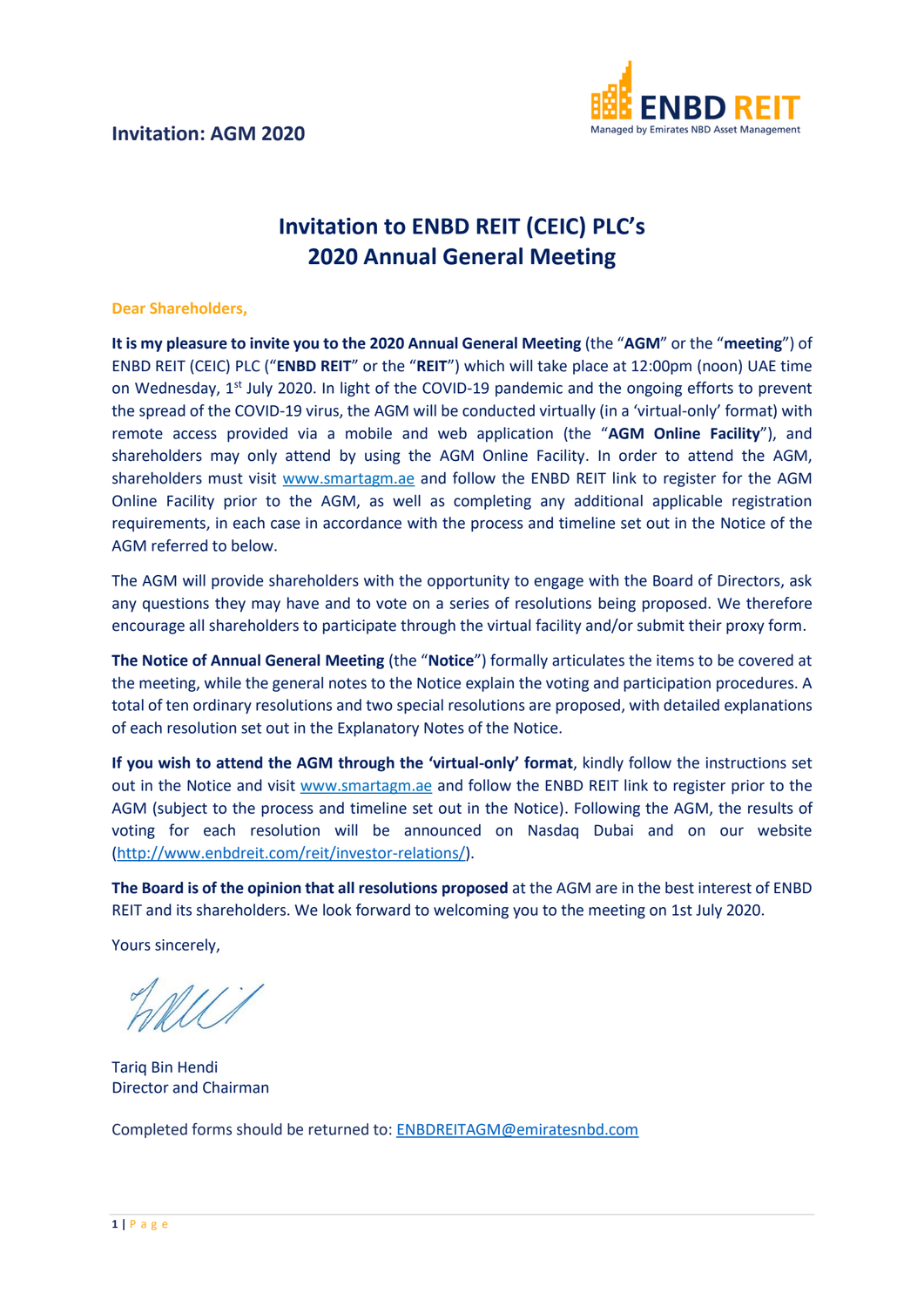

## **Invitation to ENBD REIT (CEIC) PLC's 2020 Annual General Meeting**

## **Dear Shareholders,**

**It is my pleasure to invite you to the 2020 Annual General Meeting** (the "**AGM**" or the "**meeting**") of ENBD REIT (CEIC) PLC ("**ENBD REIT**" or the "**REIT**") which will take place at 12:00pm (noon) UAE time on Wednesday,  $1^{st}$  July 2020. In light of the COVID-19 pandemic and the ongoing efforts to prevent the spread of the COVID-19 virus, the AGM will be conducted virtually (in a 'virtual-only' format) with remote access provided via a mobile and web application (the "**AGM Online Facility**"), and shareholders may only attend by using the AGM Online Facility. In order to attend the AGM, shareholders must visit [www.smartagm.ae](http://www.smartagm.ae/) and follow the ENBD REIT link to register for the AGM Online Facility prior to the AGM, as well as completing any additional applicable registration requirements, in each case in accordance with the process and timeline set out in the Notice of the AGM referred to below.

The AGM will provide shareholders with the opportunity to engage with the Board of Directors, ask any questions they may have and to vote on a series of resolutions being proposed. We therefore encourage all shareholders to participate through the virtual facility and/or submit their proxy form.

**The Notice of Annual General Meeting** (the "**Notice**") formally articulates the items to be covered at the meeting, while the general notes to the Notice explain the voting and participation procedures. A total of ten ordinary resolutions and two special resolutions are proposed, with detailed explanations of each resolution set out in the Explanatory Notes of the Notice.

**If you wish to attend the AGM through the 'virtual-only' format**, kindly follow the instructions set out in the Notice and visit [www.smartagm.ae](http://www.smartagm.ae/) and follow the ENBD REIT link to register prior to the AGM (subject to the process and timeline set out in the Notice). Following the AGM, the results of voting for each resolution will be announced on Nasdaq Dubai and on our website [\(http://www.enbdreit.com/reit/investor-relations/\)](http://www.enbdreit.com/reit/investor-relations/).

**The Board is of the opinion that all resolutions proposed** at the AGM are in the best interest of ENBD REIT and its shareholders. We look forward to welcoming you to the meeting on 1st July 2020.

Yours sincerely,

Tariq Bin Hendi Director and Chairman

Completed forms should be returned to: [ENBDREITAGM@emiratesnbd.com](mailto:ENBDREITAGM@emiratesnbd.com)